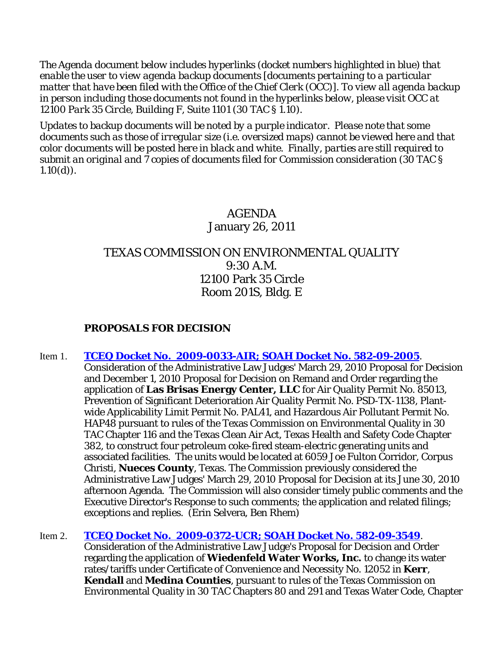*The Agenda document below includes hyperlinks (docket numbers highlighted in blue) that enable the user to view agenda backup documents [documents pertaining to a particular matter that have been filed with the Office of the Chief Clerk (OCC)]. To view all agenda backup in person including those documents not found in the hyperlinks below, please visit OCC at 12100 Park 35 Circle, Building F, Suite 1101 (30 TAC § 1.10).*

*Updates to backup documents will be noted by a purple indicator. Please note that some documents such as those of irregular size (i.e. oversized maps) cannot be viewed here and that color documents will be posted here in black and white. Finally, parties are still required to submit an original and 7 copies of documents filed for Commission consideration (30 TAC § 1.10(d)).*

# AGENDA January 26, 2011

# TEXAS COMMISSION ON ENVIRONMENTAL QUALITY 9:30 A.M. 12100 Park 35 Circle Room 201S, Bldg. E

## **PROPOSALS FOR DECISION**

- Item 1. **[TCEQ Docket No. 2009-0033-AIR; SOAH Docket No. 582-09-2005](http://www7.tceq.state.tx.us/uploads/eagendas/Agendas/2011/1-26-2011/brisas.final.pdf)**.
	- Consideration of the Administrative Law Judges' March 29, 2010 Proposal for Decision and December 1, 2010 Proposal for Decision on Remand and Order regarding the application of **Las Brisas Energy Center, LLC** for Air Quality Permit No. 85013, Prevention of Significant Deterioration Air Quality Permit No. PSD-TX-1138, Plantwide Applicability Limit Permit No. PAL41, and Hazardous Air Pollutant Permit No. HAP48 pursuant to rules of the Texas Commission on Environmental Quality in 30 TAC Chapter 116 and the Texas Clean Air Act, Texas Health and Safety Code Chapter 382, to construct four petroleum coke-fired steam-electric generating units and associated facilities. The units would be located at 6059 Joe Fulton Corridor, Corpus Christi, **Nueces County**, Texas. The Commission previously considered the Administrative Law Judges' March 29, 2010 Proposal for Decision at its June 30, 2010 afternoon Agenda. The Commission will also consider timely public comments and the Executive Director's Response to such comments; the application and related filings; exceptions and replies. (Erin Selvera, Ben Rhem)

## Item 2. **[TCEQ Docket No. 2009-0372-UCR; SOAH Docket No. 582-09-3549](http://www7.tceq.state.tx.us/uploads/eagendas/Agendas/2011/1-26-2011/wiedenfeld.pdf)**.

Consideration of the Administrative Law Judge's Proposal for Decision and Order regarding the application of **Wiedenfeld Water Works, Inc.** to change its water rates/tariffs under Certificate of Convenience and Necessity No. 12052 in **Kerr**, **Kendall** and **Medina Counties**, pursuant to rules of the Texas Commission on Environmental Quality in 30 TAC Chapters 80 and 291 and Texas Water Code, Chapter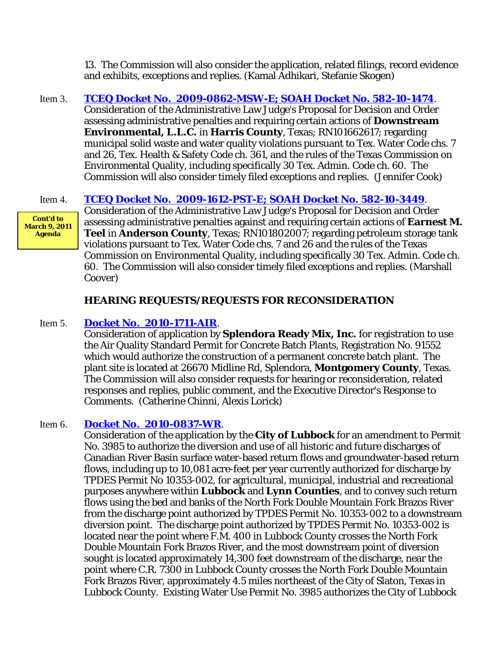13. The Commission will also consider the application, related filings, record evidence and exhibits, exceptions and replies. (Kamal Adhikari, Stefanie Skogen)

Item 3. **[TCEQ Docket No. 2009-0862-MSW-E; SOAH Docket No. 582-10-1474](http://www7.tceq.state.tx.us/uploads/eagendas/Agendas/2011/1-26-2011/downstream.pdf)**. Consideration of the Administrative Law Judge's Proposal for Decision and Order assessing administrative penalties and requiring certain actions of **Downstream Environmental, L.L.C.** in **Harris County**, Texas; RN101662617; regarding municipal solid waste and water quality violations pursuant to Tex. Water Code chs. 7 and 26, Tex. Health & Safety Code ch. 361, and the rules of the Texas Commission on Environmental Quality, including specifically 30 Tex. Admin. Code ch. 60. The Commission will also consider timely filed exceptions and replies. (Jennifer Cook)

## Item 4. **[TCEQ Docket No. 2009-1612-PST-E; SOAH Docket No. 582-10-3449](http://www7.tceq.state.tx.us/uploads/eagendas/Agendas/2011/1-26-2011/teel.pdf)**.

**Cont'd to March 9, 2011 Agenda**

Consideration of the Administrative Law Judge's Proposal for Decision and Order assessing administrative penalties against and requiring certain actions of **Earnest M. Teel** in **Anderson County**, Texas; RN101802007; regarding petroleum storage tank violations pursuant to Tex. Water Code chs. 7 and 26 and the rules of the Texas Commission on Environmental Quality, including specifically 30 Tex. Admin. Code ch. 60. The Commission will also consider timely filed exceptions and replies. (Marshall Coover)

## **HEARING REQUESTS/REQUESTS FOR RECONSIDERATION**

## Item 5. **[Docket No. 2010-1711-AIR](http://www7.tceq.state.tx.us/uploads/eagendas/Agendas/2011/1-26-2011/splendora.pdf)**.

Consideration of application by **Splendora Ready Mix, Inc.** for registration to use the Air Quality Standard Permit for Concrete Batch Plants, Registration No. 91552 which would authorize the construction of a permanent concrete batch plant. The plant site is located at 26670 Midline Rd, Splendora, **Montgomery County**, Texas. The Commission will also consider requests for hearing or reconsideration, related responses and replies, public comment, and the Executive Director's Response to Comments. (Catherine Chinni, Alexis Lorick)

## Item 6. **[Docket No. 2010-0837-WR](http://www7.tceq.state.tx.us/uploads/eagendas/Agendas/2011/1-26-2011/lubbock.wr.pdf)**.

Consideration of the application by the **City of Lubbock** for an amendment to Permit No. 3985 to authorize the diversion and use of all historic and future discharges of Canadian River Basin surface water-based return flows and groundwater-based return flows, including up to 10,081 acre-feet per year currently authorized for discharge by TPDES Permit No 10353-002, for agricultural, municipal, industrial and recreational purposes anywhere within **Lubbock** and **Lynn Counties**, and to convey such return flows using the bed and banks of the North Fork Double Mountain Fork Brazos River from the discharge point authorized by TPDES Permit No. 10353-002 to a downstream diversion point. The discharge point authorized by TPDES Permit No. 10353-002 is located near the point where F.M. 400 in Lubbock County crosses the North Fork Double Mountain Fork Brazos River, and the most downstream point of diversion sought is located approximately 14,300 feet downstream of the discharge, near the point where C.R. 7300 in Lubbock County crosses the North Fork Double Mountain Fork Brazos River, approximately 4.5 miles northeast of the City of Slaton, Texas in Lubbock County. Existing Water Use Permit No. 3985 authorizes the City of Lubbock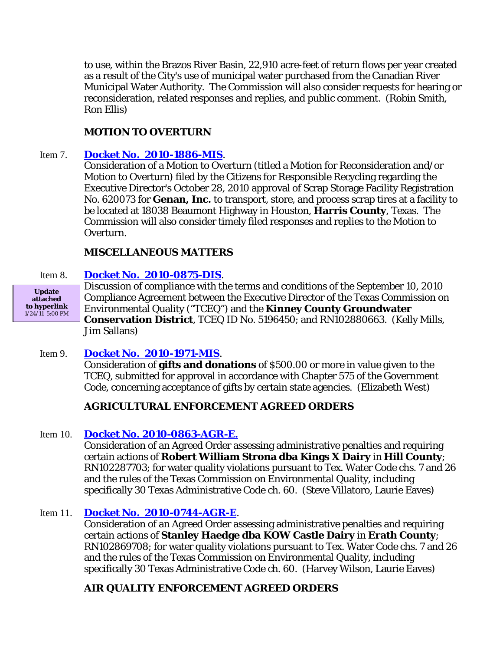to use, within the Brazos River Basin, 22,910 acre-feet of return flows per year created as a result of the City's use of municipal water purchased from the Canadian River Municipal Water Authority. The Commission will also consider requests for hearing or reconsideration, related responses and replies, and public comment. (Robin Smith, Ron Ellis)

## **MOTION TO OVERTURN**

## Item 7. **[Docket No. 2010-1886-MIS](http://www7.tceq.state.tx.us/uploads/eagendas/Agendas/2011/1-26-2011/genan.pdf)**.

Consideration of a Motion to Overturn (titled a Motion for Reconsideration and/or Motion to Overturn) filed by the Citizens for Responsible Recycling regarding the Executive Director's October 28, 2010 approval of Scrap Storage Facility Registration No. 620073 for **Genan, Inc.** to transport, store, and process scrap tires at a facility to be located at 18038 Beaumont Highway in Houston, **Harris County**, Texas. The Commission will also consider timely filed responses and replies to the Motion to Overturn.

## **MISCELLANEOUS MATTERS**

## Item 8. **[Docket No. 2010-0875-DIS](http://www7.tceq.state.tx.us/uploads/eagendas/Agendas/2011/1-26-2011/2010-0875-DIS.pdf)**.

**Update attached to hyperlink** 1/24/11 5:00 PM Discussion of compliance with the terms and conditions of the September 10, 2010 Compliance Agreement between the Executive Director of the Texas Commission on Environmental Quality ("TCEQ") and the **Kinney County Groundwater Conservation District**, TCEQ ID No. 5196450; and RN102880663. (Kelly Mills, Jim Sallans)

## Item 9. **[Docket No. 2010-1971-MIS](http://www7.tceq.state.tx.us/uploads/eagendas/Agendas/2011/1-26-2011/2010-1971-MIS.pdf)**.

Consideration of **gifts and donations** of \$500.00 or more in value given to the TCEQ, submitted for approval in accordance with Chapter 575 of the Government Code, concerning acceptance of gifts by certain state agencies. (Elizabeth West)

## **AGRICULTURAL ENFORCEMENT AGREED ORDERS**

## Item 10. **[Docket No. 2010-0863-AGR-E.](http://www7.tceq.state.tx.us/uploads/eagendas/Agendas/2011/1-26-2011/0863agr.pdf)**

Consideration of an Agreed Order assessing administrative penalties and requiring certain actions of **Robert William Strona dba Kings X Dairy** in **Hill County**; RN102287703; for water quality violations pursuant to Tex. Water Code chs. 7 and 26 and the rules of the Texas Commission on Environmental Quality, including specifically 30 Texas Administrative Code ch. 60. (Steve Villatoro, Laurie Eaves)

## Item 11. **[Docket No. 2010-0744-AGR-E](http://www7.tceq.state.tx.us/uploads/eagendas/Agendas/2011/1-26-2011/0744agr.pdf)**.

Consideration of an Agreed Order assessing administrative penalties and requiring certain actions of **Stanley Haedge dba KOW Castle Dairy** in **Erath County**; RN102869708; for water quality violations pursuant to Tex. Water Code chs. 7 and 26 and the rules of the Texas Commission on Environmental Quality, including specifically 30 Texas Administrative Code ch. 60. (Harvey Wilson, Laurie Eaves)

## **AIR QUALITY ENFORCEMENT AGREED ORDERS**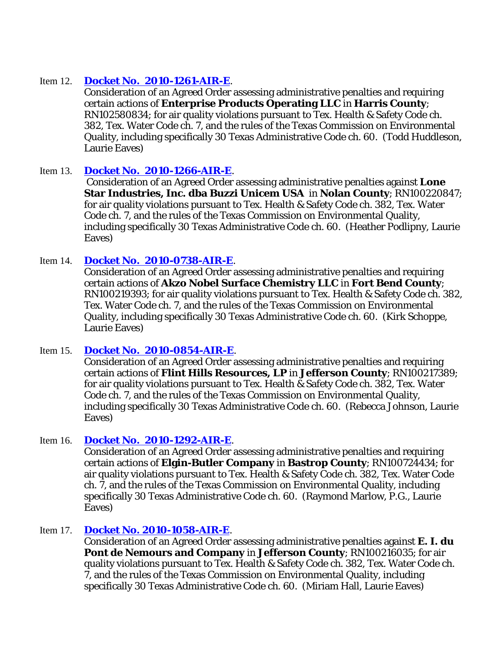## Item 12. **[Docket No. 2010-1261-AIR-E](http://www7.tceq.state.tx.us/uploads/eagendas/Agendas/2011/1-26-2011/1261air.pdf)**.

Consideration of an Agreed Order assessing administrative penalties and requiring certain actions of **Enterprise Products Operating LLC** in **Harris County**; RN102580834; for air quality violations pursuant to Tex. Health & Safety Code ch. 382, Tex. Water Code ch. 7, and the rules of the Texas Commission on Environmental Quality, including specifically 30 Texas Administrative Code ch. 60. (Todd Huddleson, Laurie Eaves)

## Item 13. **[Docket No. 2010-1266-AIR-E](http://www7.tceq.state.tx.us/uploads/eagendas/Agendas/2011/1-26-2011/1266air.pdf)**.

Consideration of an Agreed Order assessing administrative penalties against **Lone Star Industries, Inc. dba Buzzi Unicem USA** in **Nolan County**; RN100220847; for air quality violations pursuant to Tex. Health & Safety Code ch. 382, Tex. Water Code ch. 7, and the rules of the Texas Commission on Environmental Quality, including specifically 30 Texas Administrative Code ch. 60. (Heather Podlipny, Laurie Eaves)

## Item 14. **[Docket No. 2010-0738-AIR-E](http://www7.tceq.state.tx.us/uploads/eagendas/Agendas/2011/1-26-2011/0738air.pdf)**.

Consideration of an Agreed Order assessing administrative penalties and requiring certain actions of **Akzo Nobel Surface Chemistry LLC** in **Fort Bend County**; RN100219393; for air quality violations pursuant to Tex. Health & Safety Code ch. 382, Tex. Water Code ch. 7, and the rules of the Texas Commission on Environmental Quality, including specifically 30 Texas Administrative Code ch. 60. (Kirk Schoppe, Laurie Eaves)

## Item 15. **[Docket No. 2010-0854-AIR-E](http://www7.tceq.state.tx.us/uploads/eagendas/Agendas/2011/1-26-2011/0854air.pdf)**.

Consideration of an Agreed Order assessing administrative penalties and requiring certain actions of **Flint Hills Resources, LP** in **Jefferson County**; RN100217389; for air quality violations pursuant to Tex. Health & Safety Code ch. 382, Tex. Water Code ch. 7, and the rules of the Texas Commission on Environmental Quality, including specifically 30 Texas Administrative Code ch. 60. (Rebecca Johnson, Laurie Eaves)

## Item 16. **[Docket No. 2010-1292-AIR-E](http://www7.tceq.state.tx.us/uploads/eagendas/Agendas/2011/1-26-2011/1292air.pdf)**.

Consideration of an Agreed Order assessing administrative penalties and requiring certain actions of **Elgin-Butler Company** in **Bastrop County**; RN100724434; for air quality violations pursuant to Tex. Health & Safety Code ch. 382, Tex. Water Code ch. 7, and the rules of the Texas Commission on Environmental Quality, including specifically 30 Texas Administrative Code ch. 60. (Raymond Marlow, P.G., Laurie Eaves)

## Item 17. **Docket No. 2010-1058-AIR-E**.

Consideration of an Agreed Order assessing administrative penalties against **E. I. du Pont de Nemours and Company** in **Jefferson County**; RN100216035; for air quality violations pursuant to Tex. Health & Safety Code ch. 382, Tex. Water Code ch. 7, and the rules of the Texas Commission on Environmental Quality, including specifically 30 Texas Administrative Code ch. 60. (Miriam Hall, Laurie Eaves)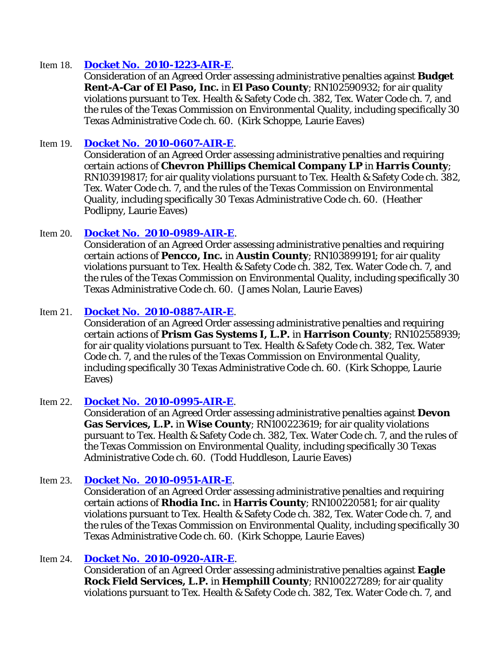## Item 18. **[Docket No. 2010-1223-AIR-E](http://www7.tceq.state.tx.us/uploads/eagendas/Agendas/2011/1-26-2011/1223air.pdf)**.

Consideration of an Agreed Order assessing administrative penalties against **Budget Rent-A-Car of El Paso, Inc.** in **El Paso County**; RN102590932; for air quality violations pursuant to Tex. Health & Safety Code ch. 382, Tex. Water Code ch. 7, and the rules of the Texas Commission on Environmental Quality, including specifically 30 Texas Administrative Code ch. 60. (Kirk Schoppe, Laurie Eaves)

## Item 19. **[Docket No. 2010-0607-AIR-E](http://www7.tceq.state.tx.us/uploads/eagendas/Agendas/2011/1-26-2011/0607air.pdf)**.

Consideration of an Agreed Order assessing administrative penalties and requiring certain actions of **Chevron Phillips Chemical Company LP** in **Harris County**; RN103919817; for air quality violations pursuant to Tex. Health & Safety Code ch. 382, Tex. Water Code ch. 7, and the rules of the Texas Commission on Environmental Quality, including specifically 30 Texas Administrative Code ch. 60. (Heather Podlipny, Laurie Eaves)

## Item 20. **[Docket No. 2010-0989-AIR-E](http://www7.tceq.state.tx.us/uploads/eagendas/Agendas/2011/1-26-2011/0989air.pdf)**.

Consideration of an Agreed Order assessing administrative penalties and requiring certain actions of **Pencco, Inc.** in **Austin County**; RN103899191; for air quality violations pursuant to Tex. Health & Safety Code ch. 382, Tex. Water Code ch. 7, and the rules of the Texas Commission on Environmental Quality, including specifically 30 Texas Administrative Code ch. 60. (James Nolan, Laurie Eaves)

## Item 21. **[Docket No. 2010-0887-AIR-E](http://www7.tceq.state.tx.us/uploads/eagendas/Agendas/2011/1-26-2011/0887air.pdf)**.

Consideration of an Agreed Order assessing administrative penalties and requiring certain actions of **Prism Gas Systems I, L.P.** in **Harrison County**; RN102558939; for air quality violations pursuant to Tex. Health & Safety Code ch. 382, Tex. Water Code ch. 7, and the rules of the Texas Commission on Environmental Quality, including specifically 30 Texas Administrative Code ch. 60. (Kirk Schoppe, Laurie Eaves)

## Item 22. **[Docket No. 2010-0995-AIR-E](http://www7.tceq.state.tx.us/uploads/eagendas/Agendas/2011/1-26-2011/0995air.pdf)**.

Consideration of an Agreed Order assessing administrative penalties against **Devon Gas Services, L.P.** in **Wise County**; RN100223619; for air quality violations pursuant to Tex. Health & Safety Code ch. 382, Tex. Water Code ch. 7, and the rules of the Texas Commission on Environmental Quality, including specifically 30 Texas Administrative Code ch. 60. (Todd Huddleson, Laurie Eaves)

## Item 23. **[Docket No. 2010-0951-AIR-E](http://www7.tceq.state.tx.us/uploads/eagendas/Agendas/2011/1-26-2011/0951air.pdf)**.

Consideration of an Agreed Order assessing administrative penalties and requiring certain actions of **Rhodia Inc.** in **Harris County**; RN100220581; for air quality violations pursuant to Tex. Health & Safety Code ch. 382, Tex. Water Code ch. 7, and the rules of the Texas Commission on Environmental Quality, including specifically 30 Texas Administrative Code ch. 60. (Kirk Schoppe, Laurie Eaves)

## Item 24. **[Docket No. 2010-0920-AIR-E](http://www7.tceq.state.tx.us/uploads/eagendas/Agendas/2011/1-26-2011/0920air.pdf)**.

Consideration of an Agreed Order assessing administrative penalties against **Eagle Rock Field Services, L.P.** in **Hemphill County**; RN100227289; for air quality violations pursuant to Tex. Health & Safety Code ch. 382, Tex. Water Code ch. 7, and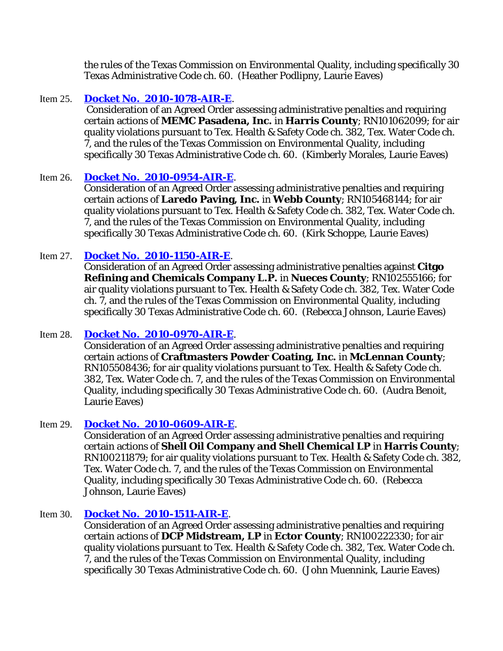the rules of the Texas Commission on Environmental Quality, including specifically 30 Texas Administrative Code ch. 60. (Heather Podlipny, Laurie Eaves)

## Item 25. **[Docket No. 2010-1078-AIR-E](http://www7.tceq.state.tx.us/uploads/eagendas/Agendas/2011/1-26-2011/1078air.pdf)**.

Consideration of an Agreed Order assessing administrative penalties and requiring certain actions of **MEMC Pasadena, Inc.** in **Harris County**; RN101062099; for air quality violations pursuant to Tex. Health & Safety Code ch. 382, Tex. Water Code ch. 7, and the rules of the Texas Commission on Environmental Quality, including specifically 30 Texas Administrative Code ch. 60. (Kimberly Morales, Laurie Eaves)

## Item 26. **[Docket No. 2010-0954-AIR-E](http://www7.tceq.state.tx.us/uploads/eagendas/Agendas/2011/1-26-2011/0954air.pdf)**.

Consideration of an Agreed Order assessing administrative penalties and requiring certain actions of **Laredo Paving, Inc.** in **Webb County**; RN105468144; for air quality violations pursuant to Tex. Health & Safety Code ch. 382, Tex. Water Code ch. 7, and the rules of the Texas Commission on Environmental Quality, including specifically 30 Texas Administrative Code ch. 60. (Kirk Schoppe, Laurie Eaves)

## Item 27. **[Docket No. 2010-1150-AIR-E](http://www7.tceq.state.tx.us/uploads/eagendas/Agendas/2011/1-26-2011/1150air.pdf)**.

Consideration of an Agreed Order assessing administrative penalties against **Citgo Refining and Chemicals Company L.P.** in **Nueces County**; RN102555166; for air quality violations pursuant to Tex. Health & Safety Code ch. 382, Tex. Water Code ch. 7, and the rules of the Texas Commission on Environmental Quality, including specifically 30 Texas Administrative Code ch. 60. (Rebecca Johnson, Laurie Eaves)

## Item 28. **[Docket No. 2010-0970-AIR-E](http://www7.tceq.state.tx.us/uploads/eagendas/Agendas/2011/1-26-2011/0970air.pdf)**.

Consideration of an Agreed Order assessing administrative penalties and requiring certain actions of **Craftmasters Powder Coating, Inc.** in **McLennan County**; RN105508436; for air quality violations pursuant to Tex. Health & Safety Code ch. 382, Tex. Water Code ch. 7, and the rules of the Texas Commission on Environmental Quality, including specifically 30 Texas Administrative Code ch. 60. (Audra Benoit, Laurie Eaves)

## Item 29. **[Docket No. 2010-0609-AIR-E](http://www7.tceq.state.tx.us/uploads/eagendas/Agendas/2011/1-26-2011/0609air.pdf)**.

Consideration of an Agreed Order assessing administrative penalties and requiring certain actions of **Shell Oil Company and Shell Chemical LP** in **Harris County**; RN100211879; for air quality violations pursuant to Tex. Health & Safety Code ch. 382, Tex. Water Code ch. 7, and the rules of the Texas Commission on Environmental Quality, including specifically 30 Texas Administrative Code ch. 60. (Rebecca Johnson, Laurie Eaves)

## Item 30. **[Docket No. 2010-1511-AIR-E](http://www7.tceq.state.tx.us/uploads/eagendas/Agendas/2011/1-26-2011/1511air.pdf)**.

Consideration of an Agreed Order assessing administrative penalties and requiring certain actions of **DCP Midstream, LP** in **Ector County**; RN100222330; for air quality violations pursuant to Tex. Health & Safety Code ch. 382, Tex. Water Code ch. 7, and the rules of the Texas Commission on Environmental Quality, including specifically 30 Texas Administrative Code ch. 60. (John Muennink, Laurie Eaves)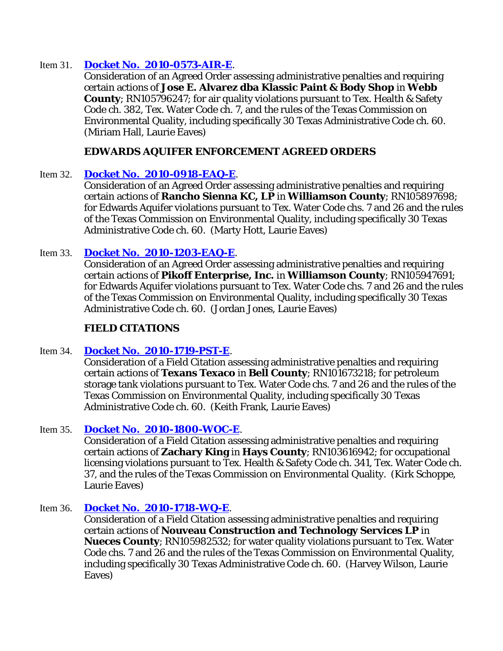## Item 31. **[Docket No. 2010-0573-AIR-E](http://www7.tceq.state.tx.us/uploads/eagendas/Agendas/2011/1-26-2011/0573air.pdf)**.

Consideration of an Agreed Order assessing administrative penalties and requiring certain actions of **Jose E. Alvarez dba Klassic Paint & Body Shop** in **Webb County**; RN105796247; for air quality violations pursuant to Tex. Health & Safety Code ch. 382, Tex. Water Code ch. 7, and the rules of the Texas Commission on Environmental Quality, including specifically 30 Texas Administrative Code ch. 60. (Miriam Hall, Laurie Eaves)

## **EDWARDS AQUIFER ENFORCEMENT AGREED ORDERS**

## Item 32. **[Docket No. 2010-0918-EAQ-E](http://www7.tceq.state.tx.us/uploads/eagendas/Agendas/2011/1-26-2011/0918eaq.pdf)**.

Consideration of an Agreed Order assessing administrative penalties and requiring certain actions of **Rancho Sienna KC, LP** in **Williamson County**; RN105897698; for Edwards Aquifer violations pursuant to Tex. Water Code chs. 7 and 26 and the rules of the Texas Commission on Environmental Quality, including specifically 30 Texas Administrative Code ch. 60. (Marty Hott, Laurie Eaves)

## Item 33. **[Docket No. 2010-1203-EAQ-E](http://www7.tceq.state.tx.us/uploads/eagendas/Agendas/2011/1-26-2011/1203eaq.pdf)**.

Consideration of an Agreed Order assessing administrative penalties and requiring certain actions of **Pikoff Enterprise, Inc.** in **Williamson County**; RN105947691; for Edwards Aquifer violations pursuant to Tex. Water Code chs. 7 and 26 and the rules of the Texas Commission on Environmental Quality, including specifically 30 Texas Administrative Code ch. 60. (Jordan Jones, Laurie Eaves)

## **FIELD CITATIONS**

## Item 34. **[Docket No. 2010-1719-PST-E](http://www7.tceq.state.tx.us/uploads/eagendas/Agendas/2011/1-26-2011/1719pst.pdf)**.

Consideration of a Field Citation assessing administrative penalties and requiring certain actions of **Texans Texaco** in **Bell County**; RN101673218; for petroleum storage tank violations pursuant to Tex. Water Code chs. 7 and 26 and the rules of the Texas Commission on Environmental Quality, including specifically 30 Texas Administrative Code ch. 60. (Keith Frank, Laurie Eaves)

## Item 35. **[Docket No. 2010-1800-WOC-E](http://www7.tceq.state.tx.us/uploads/eagendas/Agendas/2011/1-26-2011/1800woc.pdf)**.

Consideration of a Field Citation assessing administrative penalties and requiring certain actions of **Zachary King** in **Hays County**; RN103616942; for occupational licensing violations pursuant to Tex. Health & Safety Code ch. 341, Tex. Water Code ch. 37, and the rules of the Texas Commission on Environmental Quality. (Kirk Schoppe, Laurie Eaves)

## Item 36. **[Docket No. 2010-1718-WQ-E](http://www7.tceq.state.tx.us/uploads/eagendas/Agendas/2011/1-26-2011/1718wq.pdf)**.

Consideration of a Field Citation assessing administrative penalties and requiring certain actions of **Nouveau Construction and Technology Services LP** in **Nueces County**; RN105982532; for water quality violations pursuant to Tex. Water Code chs. 7 and 26 and the rules of the Texas Commission on Environmental Quality, including specifically 30 Texas Administrative Code ch. 60. (Harvey Wilson, Laurie Eaves)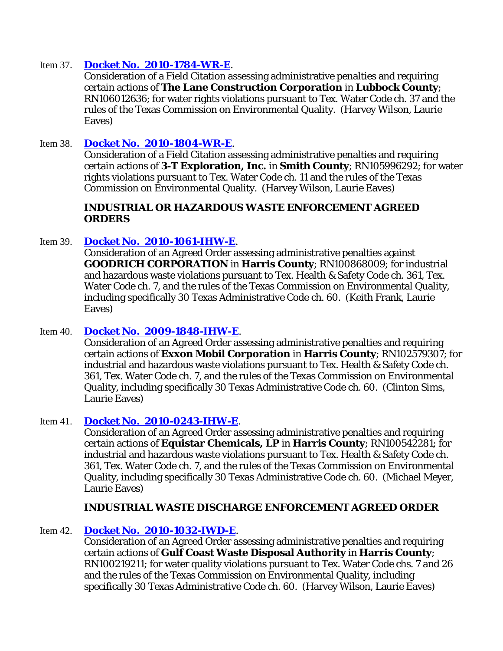## Item 37. **[Docket No. 2010-1784-WR-E](http://www7.tceq.state.tx.us/uploads/eagendas/Agendas/2011/1-26-2011/1784wr.pdf)**.

Consideration of a Field Citation assessing administrative penalties and requiring certain actions of **The Lane Construction Corporation** in **Lubbock County**; RN106012636; for water rights violations pursuant to Tex. Water Code ch. 37 and the rules of the Texas Commission on Environmental Quality. (Harvey Wilson, Laurie Eaves)

## Item 38. **[Docket No. 2010-1804-WR-E](http://www7.tceq.state.tx.us/uploads/eagendas/Agendas/2011/1-26-2011/1804wr.pdf)**.

Consideration of a Field Citation assessing administrative penalties and requiring certain actions of **3-T Exploration, Inc.** in **Smith County**; RN105996292; for water rights violations pursuant to Tex. Water Code ch. 11 and the rules of the Texas Commission on Environmental Quality. (Harvey Wilson, Laurie Eaves)

## **INDUSTRIAL OR HAZARDOUS WASTE ENFORCEMENT AGREED ORDERS**

## Item 39. **[Docket No. 2010-1061-IHW-E](http://www7.tceq.state.tx.us/uploads/eagendas/Agendas/2011/1-26-2011/1061ihw.pdf)**.

Consideration of an Agreed Order assessing administrative penalties against **GOODRICH CORPORATION** in **Harris County**; RN100868009; for industrial and hazardous waste violations pursuant to Tex. Health & Safety Code ch. 361, Tex. Water Code ch. 7, and the rules of the Texas Commission on Environmental Quality, including specifically 30 Texas Administrative Code ch. 60. (Keith Frank, Laurie Eaves)

## Item 40. **[Docket No. 2009-1848-IHW-E](http://www7.tceq.state.tx.us/uploads/eagendas/Agendas/2011/1-26-2011/1848ihw.pdf)**.

Consideration of an Agreed Order assessing administrative penalties and requiring certain actions of **Exxon Mobil Corporation** in **Harris County**; RN102579307; for industrial and hazardous waste violations pursuant to Tex. Health & Safety Code ch. 361, Tex. Water Code ch. 7, and the rules of the Texas Commission on Environmental Quality, including specifically 30 Texas Administrative Code ch. 60. (Clinton Sims, Laurie Eaves)

## Item 41. **[Docket No. 2010-0243-IHW-E](http://www7.tceq.state.tx.us/uploads/eagendas/Agendas/2011/1-26-2011/0243ihw.pdf)**.

Consideration of an Agreed Order assessing administrative penalties and requiring certain actions of **Equistar Chemicals, LP** in **Harris County**; RN100542281; for industrial and hazardous waste violations pursuant to Tex. Health & Safety Code ch. 361, Tex. Water Code ch. 7, and the rules of the Texas Commission on Environmental Quality, including specifically 30 Texas Administrative Code ch. 60. (Michael Meyer, Laurie Eaves)

## **INDUSTRIAL WASTE DISCHARGE ENFORCEMENT AGREED ORDER**

## Item 42. **[Docket No. 2010-1032-IWD-E](http://www7.tceq.state.tx.us/uploads/eagendas/Agendas/2011/1-26-2011/1032iwd.pdf)**.

Consideration of an Agreed Order assessing administrative penalties and requiring certain actions of **Gulf Coast Waste Disposal Authority** in **Harris County**; RN100219211; for water quality violations pursuant to Tex. Water Code chs. 7 and 26 and the rules of the Texas Commission on Environmental Quality, including specifically 30 Texas Administrative Code ch. 60. (Harvey Wilson, Laurie Eaves)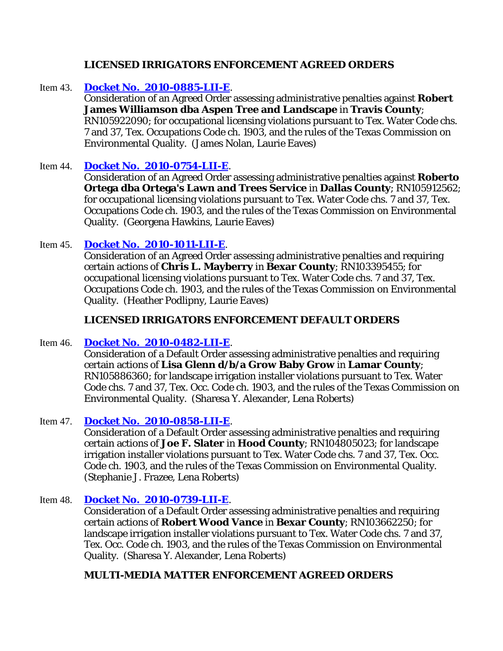## **LICENSED IRRIGATORS ENFORCEMENT AGREED ORDERS**

## Item 43. **[Docket No. 2010-0885-LII-E](http://www7.tceq.state.tx.us/uploads/eagendas/Agendas/2011/1-26-2011/0885lii.pdf)**.

Consideration of an Agreed Order assessing administrative penalties against **Robert James Williamson dba Aspen Tree and Landscape** in **Travis County**; RN105922090; for occupational licensing violations pursuant to Tex. Water Code chs. 7 and 37, Tex. Occupations Code ch. 1903, and the rules of the Texas Commission on Environmental Quality. (James Nolan, Laurie Eaves)

## Item 44. **[Docket No. 2010-0754-LII-E](http://www7.tceq.state.tx.us/uploads/eagendas/Agendas/2011/1-26-2011/0754lii.pdf)**.

Consideration of an Agreed Order assessing administrative penalties against **Roberto Ortega dba Ortega's Lawn and Trees Service** in **Dallas County**; RN105912562; for occupational licensing violations pursuant to Tex. Water Code chs. 7 and 37, Tex. Occupations Code ch. 1903, and the rules of the Texas Commission on Environmental Quality. (Georgena Hawkins, Laurie Eaves)

## Item 45. **[Docket No. 2010-1011-LII-E](http://www7.tceq.state.tx.us/uploads/eagendas/Agendas/2011/1-26-2011/1011lii.pdf)**.

Consideration of an Agreed Order assessing administrative penalties and requiring certain actions of **Chris L. Mayberry** in **Bexar County**; RN103395455; for occupational licensing violations pursuant to Tex. Water Code chs. 7 and 37, Tex. Occupations Code ch. 1903, and the rules of the Texas Commission on Environmental Quality. (Heather Podlipny, Laurie Eaves)

## **LICENSED IRRIGATORS ENFORCEMENT DEFAULT ORDERS**

## Item 46. **[Docket No. 2010-0482-LII-E](http://www7.tceq.state.tx.us/uploads/eagendas/Agendas/2011/1-26-2011/0482lii.pdf)**.

Consideration of a Default Order assessing administrative penalties and requiring certain actions of **Lisa Glenn d/b/a Grow Baby Grow** in **Lamar County**; RN105886360; for landscape irrigation installer violations pursuant to Tex. Water Code chs. 7 and 37, Tex. Occ. Code ch. 1903, and the rules of the Texas Commission on Environmental Quality. (Sharesa Y. Alexander, Lena Roberts)

## Item 47. **[Docket No. 2010-0858-LII-E](http://www7.tceq.state.tx.us/uploads/eagendas/Agendas/2011/1-26-2011/0858lii.pdf)**.

Consideration of a Default Order assessing administrative penalties and requiring certain actions of **Joe F. Slater** in **Hood County**; RN104805023; for landscape irrigation installer violations pursuant to Tex. Water Code chs. 7 and 37, Tex. Occ. Code ch. 1903, and the rules of the Texas Commission on Environmental Quality. (Stephanie J. Frazee, Lena Roberts)

## Item 48. **[Docket No. 2010-0739-LII-E](http://www7.tceq.state.tx.us/uploads/eagendas/Agendas/2011/1-26-2011/0739lii.pdf)**.

Consideration of a Default Order assessing administrative penalties and requiring certain actions of **Robert Wood Vance** in **Bexar County**; RN103662250; for landscape irrigation installer violations pursuant to Tex. Water Code chs. 7 and 37, Tex. Occ. Code ch. 1903, and the rules of the Texas Commission on Environmental Quality. (Sharesa Y. Alexander, Lena Roberts)

## **MULTI-MEDIA MATTER ENFORCEMENT AGREED ORDERS**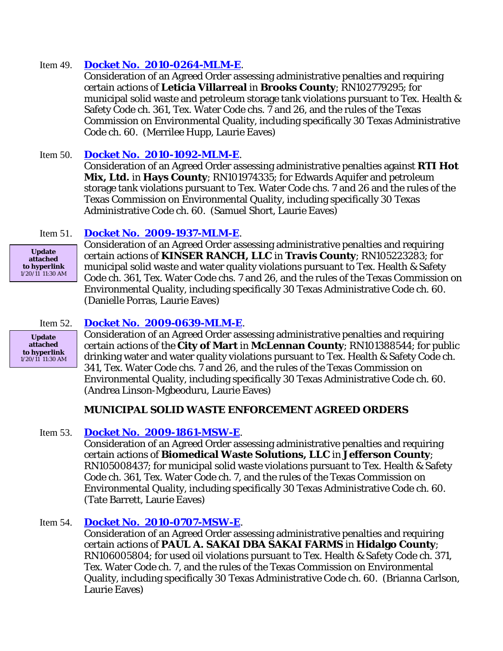## Item 49. **[Docket No. 2010-0264-MLM-E](http://www7.tceq.state.tx.us/uploads/eagendas/Agendas/2011/1-26-2011/0264mlm.pdf)**.

Consideration of an Agreed Order assessing administrative penalties and requiring certain actions of **Leticia Villarreal** in **Brooks County**; RN102779295; for municipal solid waste and petroleum storage tank violations pursuant to Tex. Health & Safety Code ch. 361, Tex. Water Code chs. 7 and 26, and the rules of the Texas Commission on Environmental Quality, including specifically 30 Texas Administrative Code ch. 60. (Merrilee Hupp, Laurie Eaves)

## Item 50. **[Docket No. 2010-1092-MLM-E](http://www7.tceq.state.tx.us/uploads/eagendas/Agendas/2011/1-26-2011/1092mlm.pdf)**.

Consideration of an Agreed Order assessing administrative penalties against **RTI Hot Mix, Ltd.** in **Hays County**; RN101974335; for Edwards Aquifer and petroleum storage tank violations pursuant to Tex. Water Code chs. 7 and 26 and the rules of the Texas Commission on Environmental Quality, including specifically 30 Texas Administrative Code ch. 60. (Samuel Short, Laurie Eaves)

## Item 51. **[Docket No. 2009-1937-MLM-E](http://www7.tceq.state.tx.us/uploads/eagendas/Agendas/2011/1-26-2011/1937mlm.pdf)**.

**Update attached to hyperlink** 1/20/11 11:30 AM Consideration of an Agreed Order assessing administrative penalties and requiring certain actions of **KINSER RANCH, LLC** in **Travis County**; RN105223283; for municipal solid waste and water quality violations pursuant to Tex. Health & Safety Code ch. 361, Tex. Water Code chs. 7 and 26, and the rules of the Texas Commission on Environmental Quality, including specifically 30 Texas Administrative Code ch. 60. (Danielle Porras, Laurie Eaves)

**Update attached to hyperlink** 1/20/11 11:30 AM

#### Item 52. **[Docket No. 2009-0639-MLM-E](http://www7.tceq.state.tx.us/uploads/eagendas/Agendas/2011/1-26-2011/0639mlm.pdf)**.

Consideration of an Agreed Order assessing administrative penalties and requiring certain actions of the **City of Mart** in **McLennan County**; RN101388544; for public drinking water and water quality violations pursuant to Tex. Health & Safety Code ch. 341, Tex. Water Code chs. 7 and 26, and the rules of the Texas Commission on Environmental Quality, including specifically 30 Texas Administrative Code ch. 60. (Andrea Linson-Mgbeoduru, Laurie Eaves)

## **MUNICIPAL SOLID WASTE ENFORCEMENT AGREED ORDERS**

## Item 53. **[Docket No. 2009-1861-MSW-E](http://www7.tceq.state.tx.us/uploads/eagendas/Agendas/2011/1-26-2011/1861msw.pdf)**.

Consideration of an Agreed Order assessing administrative penalties and requiring certain actions of **Biomedical Waste Solutions, LLC** in **Jefferson County**; RN105008437; for municipal solid waste violations pursuant to Tex. Health & Safety Code ch. 361, Tex. Water Code ch. 7, and the rules of the Texas Commission on Environmental Quality, including specifically 30 Texas Administrative Code ch. 60. (Tate Barrett, Laurie Eaves)

## Item 54. **[Docket No. 2010-0707-MSW-E](http://www7.tceq.state.tx.us/uploads/eagendas/Agendas/2011/1-26-2011/0707msw.pdf)**.

Consideration of an Agreed Order assessing administrative penalties and requiring certain actions of **PAUL A. SAKAI DBA SAKAI FARMS** in **Hidalgo County**; RN106005804; for used oil violations pursuant to Tex. Health & Safety Code ch. 371, Tex. Water Code ch. 7, and the rules of the Texas Commission on Environmental Quality, including specifically 30 Texas Administrative Code ch. 60. (Brianna Carlson, Laurie Eaves)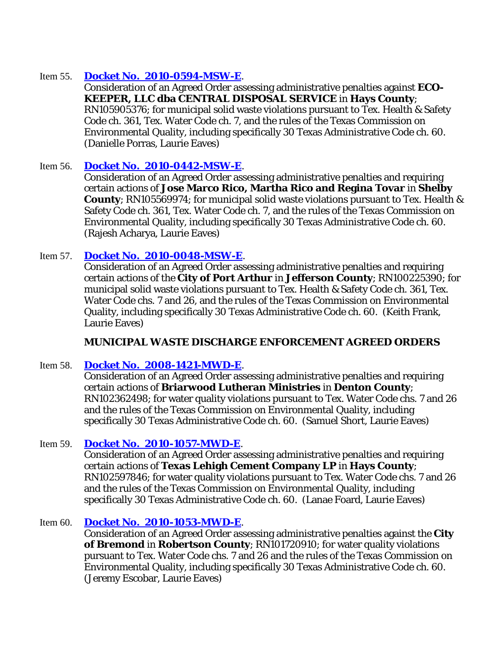## Item 55. **[Docket No. 2010-0594-MSW-E](http://www7.tceq.state.tx.us/uploads/eagendas/Agendas/2011/1-26-2011/0594msw.pdf)**.

Consideration of an Agreed Order assessing administrative penalties against **ECO-KEEPER, LLC dba CENTRAL DISPOSAL SERVICE** in **Hays County**; RN105905376; for municipal solid waste violations pursuant to Tex. Health & Safety Code ch. 361, Tex. Water Code ch. 7, and the rules of the Texas Commission on Environmental Quality, including specifically 30 Texas Administrative Code ch. 60. (Danielle Porras, Laurie Eaves)

## Item 56. **[Docket No. 2010-0442-MSW-E](http://www7.tceq.state.tx.us/uploads/eagendas/Agendas/2011/1-26-2011/0442msw.pdf)**.

Consideration of an Agreed Order assessing administrative penalties and requiring certain actions of **Jose Marco Rico, Martha Rico and Regina Tovar** in **Shelby County**; RN105569974; for municipal solid waste violations pursuant to Tex. Health & Safety Code ch. 361, Tex. Water Code ch. 7, and the rules of the Texas Commission on Environmental Quality, including specifically 30 Texas Administrative Code ch. 60. (Rajesh Acharya, Laurie Eaves)

## Item 57. **[Docket No. 2010-0048-MSW-E](http://www7.tceq.state.tx.us/uploads/eagendas/Agendas/2011/1-26-2011/0048msw.pdf)**.

Consideration of an Agreed Order assessing administrative penalties and requiring certain actions of the **City of Port Arthur** in **Jefferson County**; RN100225390; for municipal solid waste violations pursuant to Tex. Health & Safety Code ch. 361, Tex. Water Code chs. 7 and 26, and the rules of the Texas Commission on Environmental Quality, including specifically 30 Texas Administrative Code ch. 60. (Keith Frank, Laurie Eaves)

## **MUNICIPAL WASTE DISCHARGE ENFORCEMENT AGREED ORDERS**

## Item 58. **[Docket No. 2008-1421-MWD-E](http://www7.tceq.state.tx.us/uploads/eagendas/Agendas/2011/1-26-2011/1421mwd.pdf)**.

Consideration of an Agreed Order assessing administrative penalties and requiring certain actions of **Briarwood Lutheran Ministries** in **Denton County**; RN102362498; for water quality violations pursuant to Tex. Water Code chs. 7 and 26 and the rules of the Texas Commission on Environmental Quality, including specifically 30 Texas Administrative Code ch. 60. (Samuel Short, Laurie Eaves)

## Item 59. **[Docket No. 2010-1057-MWD-E](http://www7.tceq.state.tx.us/uploads/eagendas/Agendas/2011/1-26-2011/1057mwd.pdf)**.

Consideration of an Agreed Order assessing administrative penalties and requiring certain actions of **Texas Lehigh Cement Company LP** in **Hays County**; RN102597846; for water quality violations pursuant to Tex. Water Code chs. 7 and 26 and the rules of the Texas Commission on Environmental Quality, including specifically 30 Texas Administrative Code ch. 60. (Lanae Foard, Laurie Eaves)

#### Item 60. **[Docket No. 2010-1053-MWD-E](http://www7.tceq.state.tx.us/uploads/eagendas/Agendas/2011/1-26-2011/1053mwd.pdf)**.

Consideration of an Agreed Order assessing administrative penalties against the **City of Bremond** in **Robertson County**; RN101720910; for water quality violations pursuant to Tex. Water Code chs. 7 and 26 and the rules of the Texas Commission on Environmental Quality, including specifically 30 Texas Administrative Code ch. 60. (Jeremy Escobar, Laurie Eaves)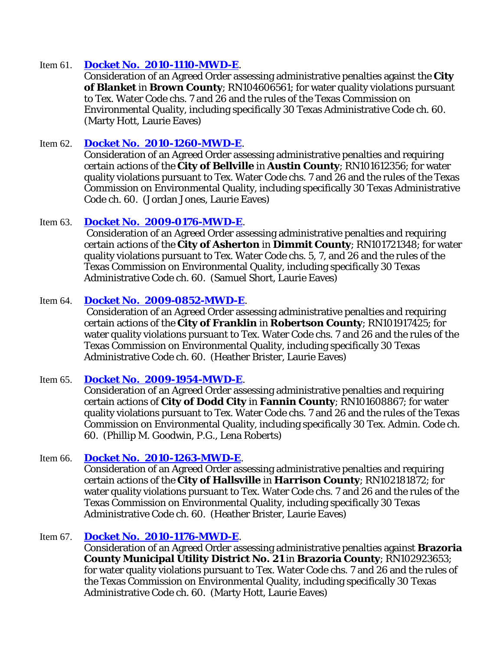## Item 61. **[Docket No. 2010-1110-MWD-E](http://www7.tceq.state.tx.us/uploads/eagendas/Agendas/2011/1-26-2011/1110mwd.pdf)**.

Consideration of an Agreed Order assessing administrative penalties against the **City of Blanket** in **Brown County**; RN104606561; for water quality violations pursuant to Tex. Water Code chs. 7 and 26 and the rules of the Texas Commission on Environmental Quality, including specifically 30 Texas Administrative Code ch. 60. (Marty Hott, Laurie Eaves)

## Item 62. **[Docket No. 2010-1260-MWD-E](http://www7.tceq.state.tx.us/uploads/eagendas/Agendas/2011/1-26-2011/1260mwd.pdf)**.

Consideration of an Agreed Order assessing administrative penalties and requiring certain actions of the **City of Bellville** in **Austin County**; RN101612356; for water quality violations pursuant to Tex. Water Code chs. 7 and 26 and the rules of the Texas Commission on Environmental Quality, including specifically 30 Texas Administrative Code ch. 60. (Jordan Jones, Laurie Eaves)

#### Item 63. **[Docket No. 2009-0176-MWD-E](http://www7.tceq.state.tx.us/uploads/eagendas/Agendas/2011/1-26-2011/0176mwd.pdf)**.

Consideration of an Agreed Order assessing administrative penalties and requiring certain actions of the **City of Asherton** in **Dimmit County**; RN101721348; for water quality violations pursuant to Tex. Water Code chs. 5, 7, and 26 and the rules of the Texas Commission on Environmental Quality, including specifically 30 Texas Administrative Code ch. 60. (Samuel Short, Laurie Eaves)

## Item 64. **[Docket No. 2009-0852-MWD-E](http://www7.tceq.state.tx.us/uploads/eagendas/Agendas/2011/1-26-2011/0852mwd.pdf)**.

Consideration of an Agreed Order assessing administrative penalties and requiring certain actions of the **City of Franklin** in **Robertson County**; RN101917425; for water quality violations pursuant to Tex. Water Code chs. 7 and 26 and the rules of the Texas Commission on Environmental Quality, including specifically 30 Texas Administrative Code ch. 60. (Heather Brister, Laurie Eaves)

## Item 65. **[Docket No. 2009-1954-MWD-E](http://www7.tceq.state.tx.us/uploads/eagendas/Agendas/2011/1-26-2011/1954mwd.pdf)**.

Consideration of an Agreed Order assessing administrative penalties and requiring certain actions of **City of Dodd City** in **Fannin County**; RN101608867; for water quality violations pursuant to Tex. Water Code chs. 7 and 26 and the rules of the Texas Commission on Environmental Quality, including specifically 30 Tex. Admin. Code ch. 60. (Phillip M. Goodwin, P.G., Lena Roberts)

#### Item 66. **[Docket No. 2010-1263-MWD-E](http://www7.tceq.state.tx.us/uploads/eagendas/Agendas/2011/1-26-2011/1263mwd.pdf)**.

Consideration of an Agreed Order assessing administrative penalties and requiring certain actions of the **City of Hallsville** in **Harrison County**; RN102181872; for water quality violations pursuant to Tex. Water Code chs. 7 and 26 and the rules of the Texas Commission on Environmental Quality, including specifically 30 Texas Administrative Code ch. 60. (Heather Brister, Laurie Eaves)

#### Item 67. **[Docket No. 2010-1176-MWD-E](http://www7.tceq.state.tx.us/uploads/eagendas/Agendas/2011/1-26-2011/1176mwd.pdf)**.

Consideration of an Agreed Order assessing administrative penalties against **Brazoria County Municipal Utility District No. 21** in **Brazoria County**; RN102923653; for water quality violations pursuant to Tex. Water Code chs. 7 and 26 and the rules of the Texas Commission on Environmental Quality, including specifically 30 Texas Administrative Code ch. 60. (Marty Hott, Laurie Eaves)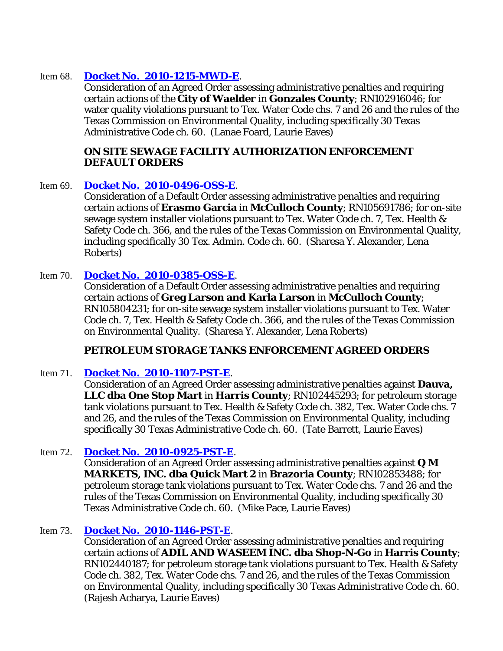## Item 68. **[Docket No. 2010-1215-MWD-E](http://www7.tceq.state.tx.us/uploads/eagendas/Agendas/2011/1-26-2011/1215mwd.pdf)**.

Consideration of an Agreed Order assessing administrative penalties and requiring certain actions of the **City of Waelder** in **Gonzales County**; RN102916046; for water quality violations pursuant to Tex. Water Code chs. 7 and 26 and the rules of the Texas Commission on Environmental Quality, including specifically 30 Texas Administrative Code ch. 60. (Lanae Foard, Laurie Eaves)

## **ON SITE SEWAGE FACILITY AUTHORIZATION ENFORCEMENT DEFAULT ORDERS**

## Item 69. **[Docket No. 2010-0496-OSS-E](http://www7.tceq.state.tx.us/uploads/eagendas/Agendas/2011/1-26-2011/0496oss.pdf)**.

Consideration of a Default Order assessing administrative penalties and requiring certain actions of **Erasmo Garcia** in **McCulloch County**; RN105691786; for on-site sewage system installer violations pursuant to Tex. Water Code ch. 7, Tex. Health & Safety Code ch. 366, and the rules of the Texas Commission on Environmental Quality, including specifically 30 Tex. Admin. Code ch. 60. (Sharesa Y. Alexander, Lena Roberts)

## Item 70. **[Docket No. 2010-0385-OSS-E](http://www7.tceq.state.tx.us/uploads/eagendas/Agendas/2011/1-26-2011/0385oss.pdf)**.

Consideration of a Default Order assessing administrative penalties and requiring certain actions of **Greg Larson and Karla Larson** in **McCulloch County**; RN105804231; for on-site sewage system installer violations pursuant to Tex. Water Code ch. 7, Tex. Health & Safety Code ch. 366, and the rules of the Texas Commission on Environmental Quality. (Sharesa Y. Alexander, Lena Roberts)

## **PETROLEUM STORAGE TANKS ENFORCEMENT AGREED ORDERS**

## Item 71. **[Docket No. 2010-1107-PST-E](http://www7.tceq.state.tx.us/uploads/eagendas/Agendas/2011/1-26-2011/1107pst.pdf)**.

Consideration of an Agreed Order assessing administrative penalties against **Dauva, LLC dba One Stop Mart** in **Harris County**; RN102445293; for petroleum storage tank violations pursuant to Tex. Health & Safety Code ch. 382, Tex. Water Code chs. 7 and 26, and the rules of the Texas Commission on Environmental Quality, including specifically 30 Texas Administrative Code ch. 60. (Tate Barrett, Laurie Eaves)

## Item 72. **[Docket No. 2010-0925-PST-E](http://www7.tceq.state.tx.us/uploads/eagendas/Agendas/2011/1-26-2011/0925pst.pdf)**.

Consideration of an Agreed Order assessing administrative penalties against **Q M MARKETS, INC. dba Quick Mart 2** in **Brazoria County**; RN102853488; for petroleum storage tank violations pursuant to Tex. Water Code chs. 7 and 26 and the rules of the Texas Commission on Environmental Quality, including specifically 30 Texas Administrative Code ch. 60. (Mike Pace, Laurie Eaves)

## Item 73. **[Docket No. 2010-1146-PST-E](http://www7.tceq.state.tx.us/uploads/eagendas/Agendas/2011/1-26-2011/1146pst.pdf)**.

Consideration of an Agreed Order assessing administrative penalties and requiring certain actions of **ADIL AND WASEEM INC. dba Shop-N-Go** in **Harris County**; RN102440187; for petroleum storage tank violations pursuant to Tex. Health & Safety Code ch. 382, Tex. Water Code chs. 7 and 26, and the rules of the Texas Commission on Environmental Quality, including specifically 30 Texas Administrative Code ch. 60. (Rajesh Acharya, Laurie Eaves)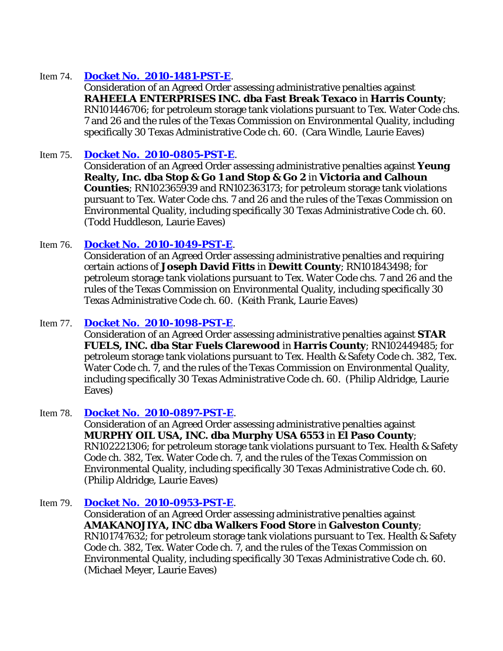## Item 74. **[Docket No. 2010-1481-PST-E](http://www7.tceq.state.tx.us/uploads/eagendas/Agendas/2011/1-26-2011/1481pst.pdf)**.

Consideration of an Agreed Order assessing administrative penalties against **RAHEELA ENTERPRISES INC. dba Fast Break Texaco** in **Harris County**; RN101446706; for petroleum storage tank violations pursuant to Tex. Water Code chs. 7 and 26 and the rules of the Texas Commission on Environmental Quality, including specifically 30 Texas Administrative Code ch. 60. (Cara Windle, Laurie Eaves)

## Item 75. **[Docket No. 2010-0805-PST-E](http://www7.tceq.state.tx.us/uploads/eagendas/Agendas/2011/1-26-2011/0805pst.pdf)**.

Consideration of an Agreed Order assessing administrative penalties against **Yeung Realty, Inc. dba Stop & Go 1 and Stop & Go 2** in **Victoria and Calhoun Counties**; RN102365939 and RN102363173; for petroleum storage tank violations pursuant to Tex. Water Code chs. 7 and 26 and the rules of the Texas Commission on Environmental Quality, including specifically 30 Texas Administrative Code ch. 60. (Todd Huddleson, Laurie Eaves)

## Item 76. **[Docket No. 2010-1049-PST-E](http://www7.tceq.state.tx.us/uploads/eagendas/Agendas/2011/1-26-2011/1049pst.pdf)**.

Consideration of an Agreed Order assessing administrative penalties and requiring certain actions of **Joseph David Fitts** in **Dewitt County**; RN101843498; for petroleum storage tank violations pursuant to Tex. Water Code chs. 7 and 26 and the rules of the Texas Commission on Environmental Quality, including specifically 30 Texas Administrative Code ch. 60. (Keith Frank, Laurie Eaves)

## Item 77. **[Docket No. 2010-1098-PST-E](http://www7.tceq.state.tx.us/uploads/eagendas/Agendas/2011/1-26-2011/1098pst.pdf)**.

Consideration of an Agreed Order assessing administrative penalties against **STAR FUELS, INC. dba Star Fuels Clarewood** in **Harris County**; RN102449485; for petroleum storage tank violations pursuant to Tex. Health & Safety Code ch. 382, Tex. Water Code ch. 7, and the rules of the Texas Commission on Environmental Quality, including specifically 30 Texas Administrative Code ch. 60. (Philip Aldridge, Laurie Eaves)

## Item 78. **[Docket No. 2010-0897-PST-E](http://www7.tceq.state.tx.us/uploads/eagendas/Agendas/2011/1-26-2011/0897pst.pdf)**.

Consideration of an Agreed Order assessing administrative penalties against **MURPHY OIL USA, INC. dba Murphy USA 6553** in **El Paso County**; RN102221306; for petroleum storage tank violations pursuant to Tex. Health & Safety Code ch. 382, Tex. Water Code ch. 7, and the rules of the Texas Commission on Environmental Quality, including specifically 30 Texas Administrative Code ch. 60. (Philip Aldridge, Laurie Eaves)

## Item 79. **[Docket No. 2010-0953-PST-E](http://www7.tceq.state.tx.us/uploads/eagendas/Agendas/2011/1-26-2011/0953pst.pdf)**.

Consideration of an Agreed Order assessing administrative penalties against **AMAKANOJIYA, INC dba Walkers Food Store** in **Galveston County**; RN101747632; for petroleum storage tank violations pursuant to Tex. Health & Safety Code ch. 382, Tex. Water Code ch. 7, and the rules of the Texas Commission on Environmental Quality, including specifically 30 Texas Administrative Code ch. 60. (Michael Meyer, Laurie Eaves)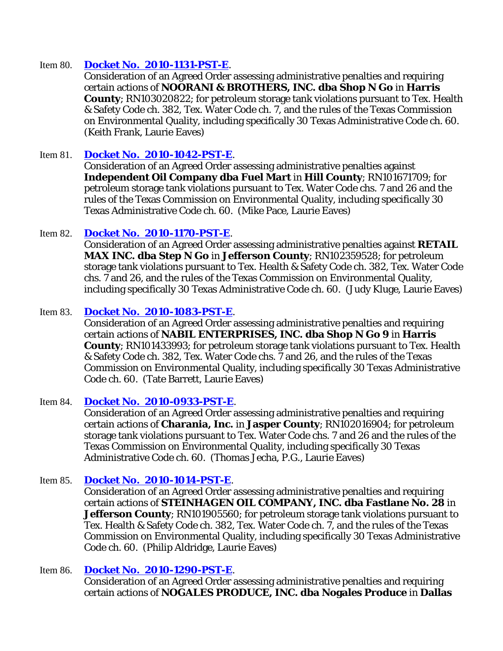## Item 80. **[Docket No. 2010-1131-PST-E](http://www7.tceq.state.tx.us/uploads/eagendas/Agendas/2011/1-26-2011/1131pst.pdf)**.

Consideration of an Agreed Order assessing administrative penalties and requiring certain actions of **NOORANI & BROTHERS, INC. dba Shop N Go** in **Harris County**; RN103020822; for petroleum storage tank violations pursuant to Tex. Health & Safety Code ch. 382, Tex. Water Code ch. 7, and the rules of the Texas Commission on Environmental Quality, including specifically 30 Texas Administrative Code ch. 60. (Keith Frank, Laurie Eaves)

## Item 81. **[Docket No. 2010-1042-PST-E](http://www7.tceq.state.tx.us/uploads/eagendas/Agendas/2011/1-26-2011/1042pst.pdf)**.

Consideration of an Agreed Order assessing administrative penalties against **Independent Oil Company dba Fuel Mart** in **Hill County**; RN101671709; for petroleum storage tank violations pursuant to Tex. Water Code chs. 7 and 26 and the rules of the Texas Commission on Environmental Quality, including specifically 30 Texas Administrative Code ch. 60. (Mike Pace, Laurie Eaves)

## Item 82. **[Docket No. 2010-1170-PST-E](http://www7.tceq.state.tx.us/uploads/eagendas/Agendas/2011/1-26-2011/1170pst.pdf)**.

Consideration of an Agreed Order assessing administrative penalties against **RETAIL MAX INC. dba Step N Go** in **Jefferson County**; RN102359528; for petroleum storage tank violations pursuant to Tex. Health & Safety Code ch. 382, Tex. Water Code chs. 7 and 26, and the rules of the Texas Commission on Environmental Quality, including specifically 30 Texas Administrative Code ch. 60. (Judy Kluge, Laurie Eaves)

## Item 83. **[Docket No. 2010-1083-PST-E](http://www7.tceq.state.tx.us/uploads/eagendas/Agendas/2011/1-26-2011/1083pst.pdf)**.

Consideration of an Agreed Order assessing administrative penalties and requiring certain actions of **NABIL ENTERPRISES, INC. dba Shop N Go 9** in **Harris County**; RN101433993; for petroleum storage tank violations pursuant to Tex. Health & Safety Code ch. 382, Tex. Water Code chs. 7 and 26, and the rules of the Texas Commission on Environmental Quality, including specifically 30 Texas Administrative Code ch. 60. (Tate Barrett, Laurie Eaves)

## Item 84. **[Docket No. 2010-0933-PST-E](http://www7.tceq.state.tx.us/uploads/eagendas/Agendas/2011/1-26-2011/0933pst.pdf)**.

Consideration of an Agreed Order assessing administrative penalties and requiring certain actions of **Charania, Inc.** in **Jasper County**; RN102016904; for petroleum storage tank violations pursuant to Tex. Water Code chs. 7 and 26 and the rules of the Texas Commission on Environmental Quality, including specifically 30 Texas Administrative Code ch. 60. (Thomas Jecha, P.G., Laurie Eaves)

## Item 85. **[Docket No. 2010-1014-PST-E](http://www7.tceq.state.tx.us/uploads/eagendas/Agendas/2011/1-26-2011/1014pst.pdf)**.

Consideration of an Agreed Order assessing administrative penalties and requiring certain actions of **STEINHAGEN OIL COMPANY, INC. dba Fastlane No. 28** in **Jefferson County**; RN101905560; for petroleum storage tank violations pursuant to Tex. Health & Safety Code ch. 382, Tex. Water Code ch. 7, and the rules of the Texas Commission on Environmental Quality, including specifically 30 Texas Administrative Code ch. 60. (Philip Aldridge, Laurie Eaves)

## Item 86. **[Docket No. 2010-1290-PST-E](http://www7.tceq.state.tx.us/uploads/eagendas/Agendas/2011/1-26-2011/1290pst.pdf)**.

Consideration of an Agreed Order assessing administrative penalties and requiring certain actions of **NOGALES PRODUCE, INC. dba Nogales Produce** in **Dallas**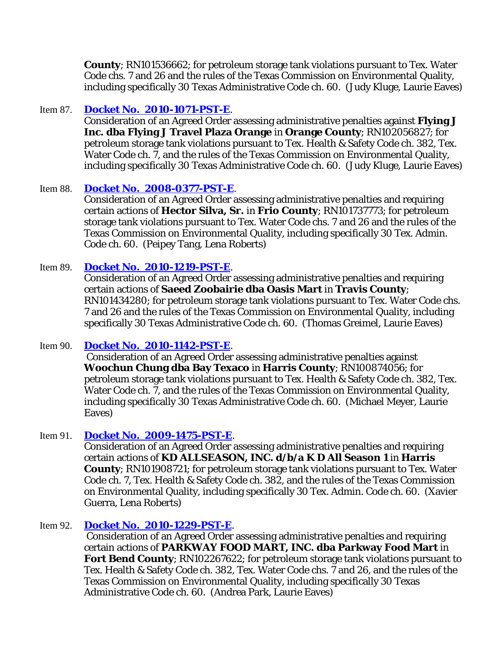**County**; RN101536662; for petroleum storage tank violations pursuant to Tex. Water Code chs. 7 and 26 and the rules of the Texas Commission on Environmental Quality, including specifically 30 Texas Administrative Code ch. 60. (Judy Kluge, Laurie Eaves)

## Item 87. **[Docket No. 2010-1071-PST-E](http://www7.tceq.state.tx.us/uploads/eagendas/Agendas/2011/1-26-2011/1071pst.pdf)**.

Consideration of an Agreed Order assessing administrative penalties against **Flying J Inc. dba Flying J Travel Plaza Orange** in **Orange County**; RN102056827; for petroleum storage tank violations pursuant to Tex. Health & Safety Code ch. 382, Tex. Water Code ch. 7, and the rules of the Texas Commission on Environmental Quality, including specifically 30 Texas Administrative Code ch. 60. (Judy Kluge, Laurie Eaves)

## Item 88. **[Docket No. 2008-0377-PST-E](http://www7.tceq.state.tx.us/uploads/eagendas/Agendas/2011/1-26-2011/0377pst.pdf)**.

Consideration of an Agreed Order assessing administrative penalties and requiring certain actions of **Hector Silva, Sr.** in **Frio County**; RN101737773; for petroleum storage tank violations pursuant to Tex. Water Code chs. 7 and 26 and the rules of the Texas Commission on Environmental Quality, including specifically 30 Tex. Admin. Code ch. 60. (Peipey Tang, Lena Roberts)

## Item 89. **[Docket No. 2010-1219-PST-E](http://www7.tceq.state.tx.us/uploads/eagendas/Agendas/2011/1-26-2011/1219pst.pdf)**.

Consideration of an Agreed Order assessing administrative penalties and requiring certain actions of **Saeed Zoobairie dba Oasis Mart** in **Travis County**; RN101434280; for petroleum storage tank violations pursuant to Tex. Water Code chs. 7 and 26 and the rules of the Texas Commission on Environmental Quality, including specifically 30 Texas Administrative Code ch. 60. (Thomas Greimel, Laurie Eaves)

## Item 90. **[Docket No. 2010-1142-PST-E](http://www7.tceq.state.tx.us/uploads/eagendas/Agendas/2011/1-26-2011/1142pst.pdf)**.

Consideration of an Agreed Order assessing administrative penalties against **Woochun Chung dba Bay Texaco** in **Harris County**; RN100874056; for petroleum storage tank violations pursuant to Tex. Health & Safety Code ch. 382, Tex. Water Code ch. 7, and the rules of the Texas Commission on Environmental Quality, including specifically 30 Texas Administrative Code ch. 60. (Michael Meyer, Laurie Eaves)

## Item 91. **[Docket No. 2009-1475-PST-E](http://www7.tceq.state.tx.us/uploads/eagendas/Agendas/2011/1-26-2011/1475pst.pdf)**.

Consideration of an Agreed Order assessing administrative penalties and requiring certain actions of **KD ALLSEASON, INC. d/b/a K D All Season 1** in **Harris County**; RN101908721; for petroleum storage tank violations pursuant to Tex. Water Code ch. 7, Tex. Health & Safety Code ch. 382, and the rules of the Texas Commission on Environmental Quality, including specifically 30 Tex. Admin. Code ch. 60. (Xavier Guerra, Lena Roberts)

## Item 92. **[Docket No. 2010-1229-PST-E](http://www7.tceq.state.tx.us/uploads/eagendas/Agendas/2011/1-26-2011/1229pst.pdf)**.

Consideration of an Agreed Order assessing administrative penalties and requiring certain actions of **PARKWAY FOOD MART, INC. dba Parkway Food Mart** in **Fort Bend County**; RN102267622; for petroleum storage tank violations pursuant to Tex. Health & Safety Code ch. 382, Tex. Water Code chs. 7 and 26, and the rules of the Texas Commission on Environmental Quality, including specifically 30 Texas Administrative Code ch. 60. (Andrea Park, Laurie Eaves)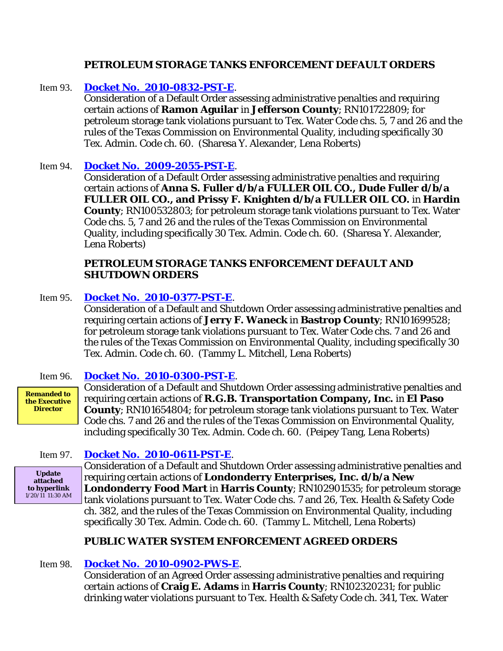## **PETROLEUM STORAGE TANKS ENFORCEMENT DEFAULT ORDERS**

## Item 93. **[Docket No. 2010-0832-PST-E](http://www7.tceq.state.tx.us/uploads/eagendas/Agendas/2011/1-26-2011/0832pst.pdf)**.

Consideration of a Default Order assessing administrative penalties and requiring certain actions of **Ramon Aguilar** in **Jefferson County**; RN101722809; for petroleum storage tank violations pursuant to Tex. Water Code chs. 5, 7 and 26 and the rules of the Texas Commission on Environmental Quality, including specifically 30 Tex. Admin. Code ch. 60. (Sharesa Y. Alexander, Lena Roberts)

## Item 94. **[Docket No. 2009-2055-PST-E](http://www7.tceq.state.tx.us/uploads/eagendas/Agendas/2011/1-26-2011/2055pst.pdf)**.

Consideration of a Default Order assessing administrative penalties and requiring certain actions of **Anna S. Fuller d/b/a FULLER OIL CO., Dude Fuller d/b/a FULLER OIL CO., and Prissy F. Knighten d/b/a FULLER OIL CO.** in **Hardin County**; RN100532803; for petroleum storage tank violations pursuant to Tex. Water Code chs. 5, 7 and 26 and the rules of the Texas Commission on Environmental Quality, including specifically 30 Tex. Admin. Code ch. 60. (Sharesa Y. Alexander, Lena Roberts)

## **PETROLEUM STORAGE TANKS ENFORCEMENT DEFAULT AND SHUTDOWN ORDERS**

## Item 95. **[Docket No. 2010-0377-PST-E](http://www7.tceq.state.tx.us/uploads/eagendas/Agendas/2011/1-26-2011/20100377pst.pdf)**.

Consideration of a Default and Shutdown Order assessing administrative penalties and requiring certain actions of **Jerry F. Waneck** in **Bastrop County**; RN101699528; for petroleum storage tank violations pursuant to Tex. Water Code chs. 7 and 26 and the rules of the Texas Commission on Environmental Quality, including specifically 30 Tex. Admin. Code ch. 60. (Tammy L. Mitchell, Lena Roberts)

## Item 96. **[Docket No. 2010-0300-PST-E](http://www7.tceq.state.tx.us/uploads/eagendas/Agendas/2011/1-26-2011/0300pst.pdf)**.

**Remanded to the Executive Director**

Consideration of a Default and Shutdown Order assessing administrative penalties and requiring certain actions of **R.G.B. Transportation Company, Inc.** in **El Paso County**; RN101654804; for petroleum storage tank violations pursuant to Tex. Water Code chs. 7 and 26 and the rules of the Texas Commission on Environmental Quality, including specifically 30 Tex. Admin. Code ch. 60. (Peipey Tang, Lena Roberts)

Item 97. **[Docket No. 2010-0611-PST-E](http://www7.tceq.state.tx.us/uploads/eagendas/Agendas/2011/1-26-2011/0611pst.pdf)**.

**Update attached to hyperlink**  $1/20/11$  11:30 AM

Consideration of a Default and Shutdown Order assessing administrative penalties and requiring certain actions of **Londonderry Enterprises, Inc. d/b/a New Londonderry Food Mart** in **Harris County**; RN102901535; for petroleum storage tank violations pursuant to Tex. Water Code chs. 7 and 26, Tex. Health & Safety Code ch. 382, and the rules of the Texas Commission on Environmental Quality, including specifically 30 Tex. Admin. Code ch. 60. (Tammy L. Mitchell, Lena Roberts)

## **PUBLIC WATER SYSTEM ENFORCEMENT AGREED ORDERS**

# Item 98. **[Docket No. 2010-0902-PWS-E](http://www7.tceq.state.tx.us/uploads/eagendas/Agendas/2011/1-26-2011/0902pws.pdf)**.

Consideration of an Agreed Order assessing administrative penalties and requiring certain actions of **Craig E. Adams** in **Harris County**; RN102320231; for public drinking water violations pursuant to Tex. Health & Safety Code ch. 341, Tex. Water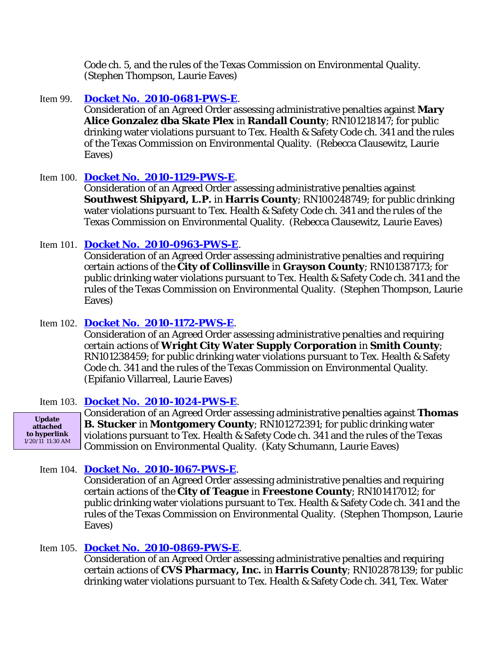Code ch. 5, and the rules of the Texas Commission on Environmental Quality. (Stephen Thompson, Laurie Eaves)

## Item 99. **[Docket No. 2010-0681-PWS-E](http://www7.tceq.state.tx.us/uploads/eagendas/Agendas/2011/1-26-2011/0681pws.pdf)**.

Consideration of an Agreed Order assessing administrative penalties against **Mary Alice Gonzalez dba Skate Plex** in **Randall County**; RN101218147; for public drinking water violations pursuant to Tex. Health & Safety Code ch. 341 and the rules of the Texas Commission on Environmental Quality. (Rebecca Clausewitz, Laurie Eaves)

#### Item 100. **[Docket No. 2010-1129-PWS-E](http://www7.tceq.state.tx.us/uploads/eagendas/Agendas/2011/1-26-2011/1129pws.pdf)**.

Consideration of an Agreed Order assessing administrative penalties against **Southwest Shipyard, L.P.** in **Harris County**; RN100248749; for public drinking water violations pursuant to Tex. Health & Safety Code ch. 341 and the rules of the Texas Commission on Environmental Quality. (Rebecca Clausewitz, Laurie Eaves)

#### Item 101. **[Docket No. 2010-0963-PWS-E](http://www7.tceq.state.tx.us/uploads/eagendas/Agendas/2011/1-26-2011/0963pws.pdf)**.

Consideration of an Agreed Order assessing administrative penalties and requiring certain actions of the **City of Collinsville** in **Grayson County**; RN101387173; for public drinking water violations pursuant to Tex. Health & Safety Code ch. 341 and the rules of the Texas Commission on Environmental Quality. (Stephen Thompson, Laurie Eaves)

## Item 102. **[Docket No. 2010-1172-PWS-E](http://www7.tceq.state.tx.us/uploads/eagendas/Agendas/2011/1-26-2011/1172pws.pdf)**.

Consideration of an Agreed Order assessing administrative penalties and requiring certain actions of **Wright City Water Supply Corporation** in **Smith County**; RN101238459; for public drinking water violations pursuant to Tex. Health & Safety Code ch. 341 and the rules of the Texas Commission on Environmental Quality. (Epifanio Villarreal, Laurie Eaves)

#### Item 103. **[Docket No. 2010-1024-PWS-E](http://www7.tceq.state.tx.us/uploads/eagendas/Agendas/2011/1-26-2011/1024pws.pdf)**.

**Update attached to hyperlink**  $1/20/11$  11:30 AM Consideration of an Agreed Order assessing administrative penalties against **Thomas B. Stucker** in **Montgomery County**; RN101272391; for public drinking water violations pursuant to Tex. Health & Safety Code ch. 341 and the rules of the Texas Commission on Environmental Quality. (Katy Schumann, Laurie Eaves)

## Item 104. **[Docket No. 2010-1067-PWS-E](http://www7.tceq.state.tx.us/uploads/eagendas/Agendas/2011/1-26-2011/1067pws.pdf)**.

Consideration of an Agreed Order assessing administrative penalties and requiring certain actions of the **City of Teague** in **Freestone County**; RN101417012; for public drinking water violations pursuant to Tex. Health & Safety Code ch. 341 and the rules of the Texas Commission on Environmental Quality. (Stephen Thompson, Laurie Eaves)

## Item 105. **[Docket No. 2010-0869-PWS-E](http://www7.tceq.state.tx.us/uploads/eagendas/Agendas/2011/1-26-2011/0869pws.pdf)**.

Consideration of an Agreed Order assessing administrative penalties and requiring certain actions of **CVS Pharmacy, Inc.** in **Harris County**; RN102878139; for public drinking water violations pursuant to Tex. Health & Safety Code ch. 341, Tex. Water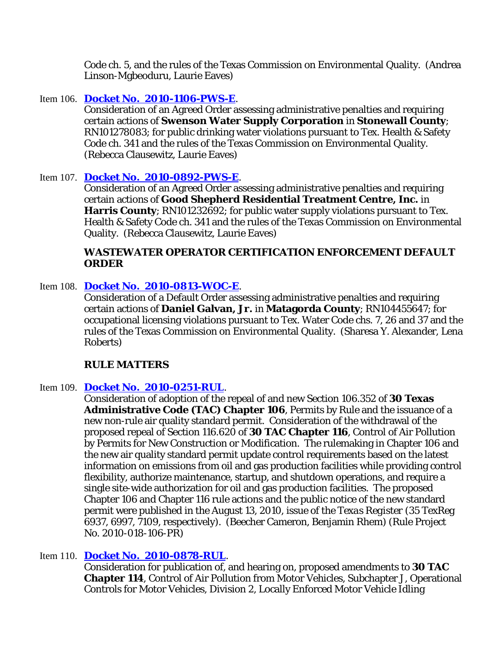Code ch. 5, and the rules of the Texas Commission on Environmental Quality. (Andrea Linson-Mgbeoduru, Laurie Eaves)

## Item 106. **[Docket No. 2010-1106-PWS-E](http://www7.tceq.state.tx.us/uploads/eagendas/Agendas/2011/1-26-2011/1106pws.pdf)**.

Consideration of an Agreed Order assessing administrative penalties and requiring certain actions of **Swenson Water Supply Corporation** in **Stonewall County**; RN101278083; for public drinking water violations pursuant to Tex. Health & Safety Code ch. 341 and the rules of the Texas Commission on Environmental Quality. (Rebecca Clausewitz, Laurie Eaves)

#### Item 107. **[Docket No. 2010-0892-PWS-E](http://www7.tceq.state.tx.us/uploads/eagendas/Agendas/2011/1-26-2011/0892pws.pdf)**.

Consideration of an Agreed Order assessing administrative penalties and requiring certain actions of **Good Shepherd Residential Treatment Centre, Inc.** in **Harris County**; RN101232692; for public water supply violations pursuant to Tex. Health & Safety Code ch. 341 and the rules of the Texas Commission on Environmental Quality. (Rebecca Clausewitz, Laurie Eaves)

## **WASTEWATER OPERATOR CERTIFICATION ENFORCEMENT DEFAULT ORDER**

#### Item 108. **[Docket No. 2010-0813-WOC-E](http://www7.tceq.state.tx.us/uploads/eagendas/Agendas/2011/1-26-2011/0813woc.pdf)**.

Consideration of a Default Order assessing administrative penalties and requiring certain actions of **Daniel Galvan, Jr.** in **Matagorda County**; RN104455647; for occupational licensing violations pursuant to Tex. Water Code chs. 7, 26 and 37 and the rules of the Texas Commission on Environmental Quality. (Sharesa Y. Alexander, Lena Roberts)

## **RULE MATTERS**

#### Item 109. **[Docket No. 2010-0251-RUL](http://www.tceq.state.tx.us/rules/pendadopt.html)**.

Consideration of adoption of the repeal of and new Section 106.352 of **30 Texas Administrative Code (TAC) Chapter 106**, Permits by Rule and the issuance of a new non-rule air quality standard permit. Consideration of the withdrawal of the proposed repeal of Section 116.620 of **30 TAC Chapter 116**, Control of Air Pollution by Permits for New Construction or Modification. The rulemaking in Chapter 106 and the new air quality standard permit update control requirements based on the latest information on emissions from oil and gas production facilities while providing control flexibility, authorize maintenance, startup, and shutdown operations, and require a single site-wide authorization for oil and gas production facilities. The proposed Chapter 106 and Chapter 116 rule actions and the public notice of the new standard permit were published in the August 13, 2010, issue of the *Texas Register* (35 TexReg 6937, 6997, 7109, respectively). (Beecher Cameron, Benjamin Rhem) (Rule Project No. 2010-018-106-PR)

## Item 110. **[Docket No. 2010-0878-RUL](http://www.tceq.state.tx.us/rules/pendprop.html)**.

Consideration for publication of, and hearing on, proposed amendments to **30 TAC Chapter 114**, Control of Air Pollution from Motor Vehicles, Subchapter J, Operational Controls for Motor Vehicles, Division 2, Locally Enforced Motor Vehicle Idling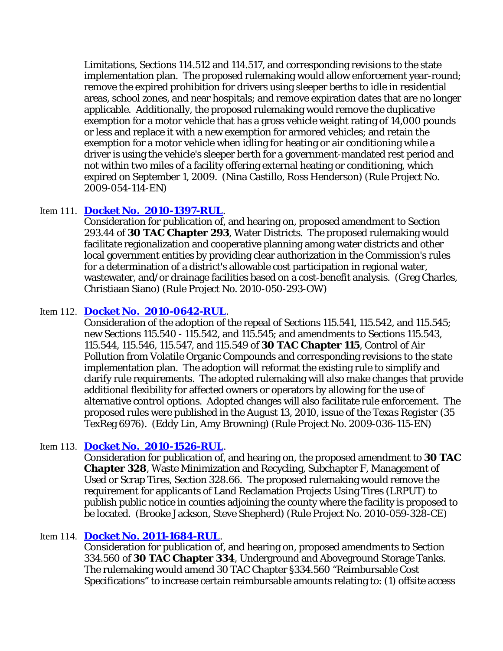Limitations, Sections 114.512 and 114.517, and corresponding revisions to the state implementation plan. The proposed rulemaking would allow enforcement year-round; remove the expired prohibition for drivers using sleeper berths to idle in residential areas, school zones, and near hospitals; and remove expiration dates that are no longer applicable. Additionally, the proposed rulemaking would remove the duplicative exemption for a motor vehicle that has a gross vehicle weight rating of 14,000 pounds or less and replace it with a new exemption for armored vehicles; and retain the exemption for a motor vehicle when idling for heating or air conditioning while a driver is using the vehicle's sleeper berth for a government-mandated rest period and not within two miles of a facility offering external heating or conditioning, which expired on September 1, 2009. (Nina Castillo, Ross Henderson) (Rule Project No. 2009-054-114-EN)

## Item 111. **[Docket No. 2010-1397-RUL](http://www.tceq.state.tx.us/rules/pendprop.html)**.

Consideration for publication of, and hearing on, proposed amendment to Section 293.44 of **30 TAC Chapter 293**, Water Districts. The proposed rulemaking would facilitate regionalization and cooperative planning among water districts and other local government entities by providing clear authorization in the Commission's rules for a determination of a district's allowable cost participation in regional water, wastewater, and/or drainage facilities based on a cost-benefit analysis. (Greg Charles, Christiaan Siano) (Rule Project No. 2010-050-293-OW)

## Item 112. **[Docket No. 2010-0642-RUL](http://www.tceq.state.tx.us/rules/pendadopt.html)**.

Consideration of the adoption of the repeal of Sections 115.541, 115.542, and 115.545; new Sections 115.540 - 115.542, and 115.545; and amendments to Sections 115.543, 115.544, 115.546, 115.547, and 115.549 of **30 TAC Chapter 115**, Control of Air Pollution from Volatile Organic Compounds and corresponding revisions to the state implementation plan. The adoption will reformat the existing rule to simplify and clarify rule requirements. The adopted rulemaking will also make changes that provide additional flexibility for affected owners or operators by allowing for the use of alternative control options. Adopted changes will also facilitate rule enforcement. The proposed rules were published in the August 13, 2010, issue of the *Texas Register* (35 TexReg 6976). (Eddy Lin, Amy Browning) (Rule Project No. 2009-036-115-EN)

## Item 113. **[Docket No. 2010-1526-RUL](http://www.tceq.state.tx.us/rules/pendprop.html)**.

Consideration for publication of, and hearing on, the proposed amendment to **30 TAC Chapter 328**, Waste Minimization and Recycling, Subchapter F, Management of Used or Scrap Tires, Section 328.66. The proposed rulemaking would remove the requirement for applicants of Land Reclamation Projects Using Tires (LRPUT) to publish public notice in counties adjoining the county where the facility is proposed to be located. (Brooke Jackson, Steve Shepherd) (Rule Project No. 2010-059-328-CE)

## Item 114. **[Docket No. 2011-1684-RUL](http://www.tceq.state.tx.us/rules/pendprop.html)**.

Consideration for publication of, and hearing on, proposed amendments to Section 334.560 of **30 TAC Chapter 334**, Underground and Aboveground Storage Tanks. The rulemaking would amend 30 TAC Chapter §334.560 "Reimbursable Cost Specifications" to increase certain reimbursable amounts relating to: (1) offsite access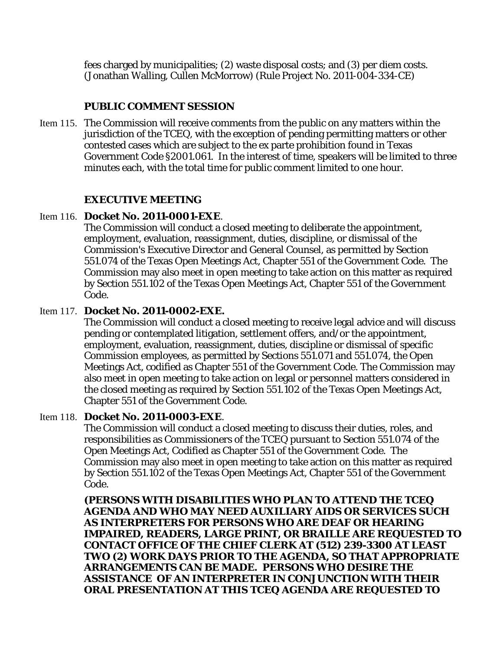fees charged by municipalities; (2) waste disposal costs; and (3) per diem costs. (Jonathan Walling, Cullen McMorrow) (Rule Project No. 2011-004-334-CE)

## **PUBLIC COMMENT SESSION**

Item 115. The Commission will receive comments from the public on any matters within the jurisdiction of the TCEQ, with the exception of pending permitting matters or other contested cases which are subject to the ex parte prohibition found in Texas Government Code §2001.061. In the interest of time, speakers will be limited to three minutes each, with the total time for public comment limited to one hour.

## **EXECUTIVE MEETING**

## Item 116. **Docket No. 2011-0001-EXE**.

The Commission will conduct a closed meeting to deliberate the appointment, employment, evaluation, reassignment, duties, discipline, or dismissal of the Commission's Executive Director and General Counsel, as permitted by Section 551.074 of the Texas Open Meetings Act, Chapter 551 of the Government Code. The Commission may also meet in open meeting to take action on this matter as required by Section 551.102 of the Texas Open Meetings Act, Chapter 551 of the Government Code.

## Item 117. **Docket No. 2011-0002-EXE.**

The Commission will conduct a closed meeting to receive legal advice and will discuss pending or contemplated litigation, settlement offers, and/or the appointment, employment, evaluation, reassignment, duties, discipline or dismissal of specific Commission employees, as permitted by Sections 551.071 and 551.074, the Open Meetings Act, codified as Chapter 551 of the Government Code. The Commission may also meet in open meeting to take action on legal or personnel matters considered in the closed meeting as required by Section 551.102 of the Texas Open Meetings Act, Chapter 551 of the Government Code.

## Item 118. **Docket No. 2011-0003-EXE**.

The Commission will conduct a closed meeting to discuss their duties, roles, and responsibilities as Commissioners of the TCEQ pursuant to Section 551.074 of the Open Meetings Act, Codified as Chapter 551 of the Government Code. The Commission may also meet in open meeting to take action on this matter as required by Section 551.102 of the Texas Open Meetings Act, Chapter 551 of the Government Code.

**(PERSONS WITH DISABILITIES WHO PLAN TO ATTEND THE TCEQ AGENDA AND WHO MAY NEED AUXILIARY AIDS OR SERVICES SUCH AS INTERPRETERS FOR PERSONS WHO ARE DEAF OR HEARING IMPAIRED, READERS, LARGE PRINT, OR BRAILLE ARE REQUESTED TO CONTACT OFFICE OF THE CHIEF CLERK AT (512) 239-3300 AT LEAST TWO (2) WORK DAYS PRIOR TO THE AGENDA, SO THAT APPROPRIATE ARRANGEMENTS CAN BE MADE. PERSONS WHO DESIRE THE ASSISTANCE OF AN INTERPRETER IN CONJUNCTION WITH THEIR ORAL PRESENTATION AT THIS TCEQ AGENDA ARE REQUESTED TO**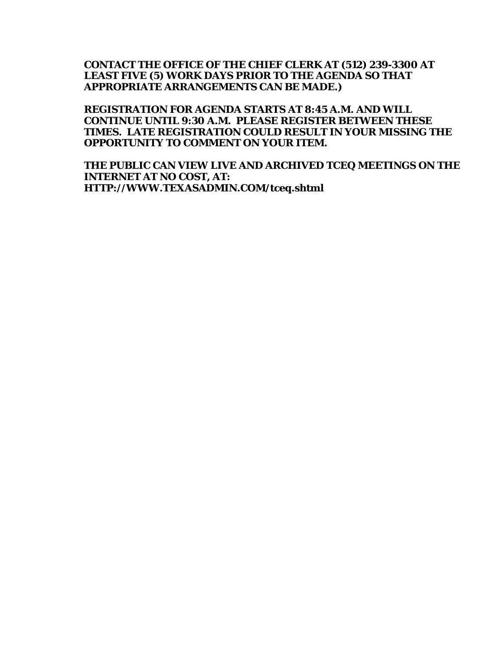## **CONTACT THE OFFICE OF THE CHIEF CLERK AT (512) 239-3300 AT LEAST FIVE (5) WORK DAYS PRIOR TO THE AGENDA SO THAT APPROPRIATE ARRANGEMENTS CAN BE MADE.)**

**REGISTRATION FOR AGENDA STARTS AT 8:45 A.M. AND WILL CONTINUE UNTIL 9:30 A.M. PLEASE REGISTER BETWEEN THESE TIMES. LATE REGISTRATION COULD RESULT IN YOUR MISSING THE OPPORTUNITY TO COMMENT ON YOUR ITEM.**

**THE PUBLIC CAN VIEW LIVE AND ARCHIVED TCEQ MEETINGS ON THE INTERNET AT NO COST, AT: HTTP://WWW.TEXASADMIN.COM/tceq.shtml**